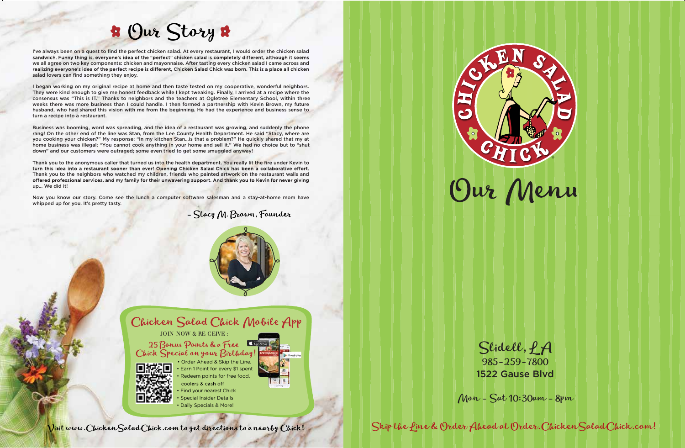



Visit www. Chicken Salad Chick.com to get directions to a nearby Chick!

# **\*** Our Story \*

I've always been on a quest to find the perfect chicken salad. At every restaurant, I would order the chicken salad<br>sandwich. Funny thing is, everyone's idea of the "perfect" chicken salad is completely different, although we all agree on two key components: chicken and mayonnaise. After tasting every chicken salad I came across and<br>realizing everyone's idea of the perfect recipe is different, Chicken Salad Chick was born. This is a place al salad lovers can find something they enjoy.

I began working on my original recipe at home and then taste tested on my cooperative, wonderful neighbors. They were kind enough to give me honest feedback while I kept tweaking. Finally, I arrived at a recipe where the consensus was "This is IT." Thanks to neighbors and the teachers at Ogletree Elementary School, within three weeks there was more business than I could handle. I then formed a partnership with Kevin Brown, my future husband, who had shared this vision with me from the beginning. He had the experience and business sense to turn a recipe into a restaurant.

Thank you to the anonymous caller that turned us into the health department. You really lit the fire under Kevin to<br>turn this idea into a restaurant sooner than ever! Opening Chicken Salad Chick has been a collaborative ef Thank you to the neighbors who watched my children, friends who painted artwork on the restaurant walls and offered professional services, and my family for their unwavering support. And thank you to Kevin for never giving up… We did it!

Now you know our story. Come see the lunch a computer software salesman and a stay-at-home mom have whipped up for you. It's pretty tasty.





Slidell, *LA* 985-259-7800

Business was booming, word was spreading, and the idea of a restaurant was growing, and suddenly the phone rang! On the other end of the line was Stan, from the Lee County Health Department. He said "Stacy, where are you cooking your chicken?" My response: "In my kitchen Stan…is that a problem?" He quickly shared that my at home business was illegal; "You cannot cook anything in your home and sell it." We had no choice but to "shut down" and our customers were outraged; some even tried to get some smuggled anyway!

1522 Gause Blvd

Mon - Sat 10:30am - 8pm

Skip the Line & Order Ahead at Order.ChickenSaladChick.com!